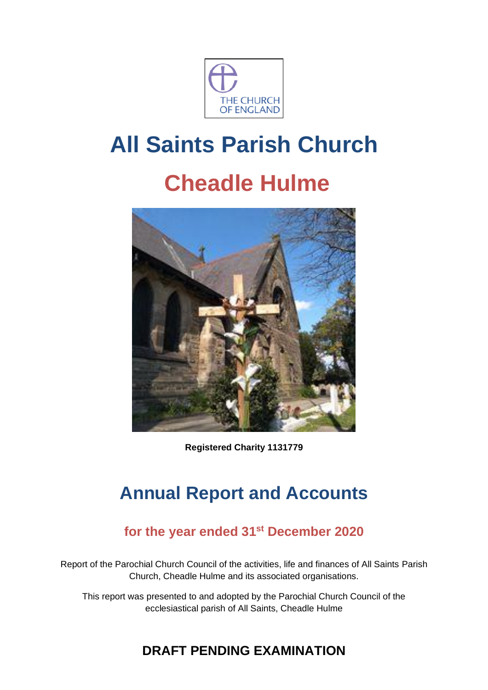

# **All Saints Parish Church**

# **Cheadle Hulme**



**Registered Charity 1131779**

## **Annual Report and Accounts**

## **for the year ended 31st December 2020**

Report of the Parochial Church Council of the activities, life and finances of All Saints Parish Church, Cheadle Hulme and its associated organisations.

This report was presented to and adopted by the Parochial Church Council of the ecclesiastical parish of All Saints, Cheadle Hulme

## **DRAFT PENDING EXAMINATION**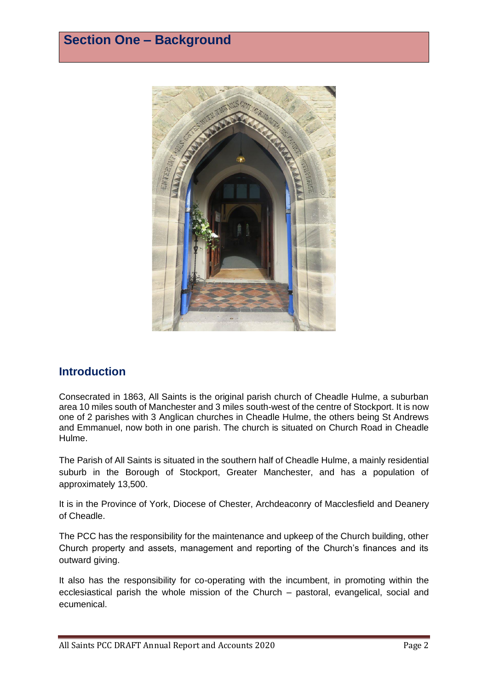

## **Introduction**

Consecrated in 1863, All Saints is the original parish church of Cheadle Hulme, a suburban area 10 miles south of Manchester and 3 miles south-west of the centre of Stockport. It is now one of 2 parishes with 3 Anglican churches in Cheadle Hulme, the others being St Andrews and Emmanuel, now both in one parish. The church is situated on Church Road in Cheadle Hulme.

The Parish of All Saints is situated in the southern half of Cheadle Hulme, a mainly residential suburb in the Borough of Stockport, Greater Manchester, and has a population of approximately 13,500.

It is in the Province of York, Diocese of Chester, Archdeaconry of Macclesfield and Deanery of Cheadle.

The PCC has the responsibility for the maintenance and upkeep of the Church building, other Church property and assets, management and reporting of the Church's finances and its outward giving.

It also has the responsibility for co-operating with the incumbent, in promoting within the ecclesiastical parish the whole mission of the Church – pastoral, evangelical, social and ecumenical.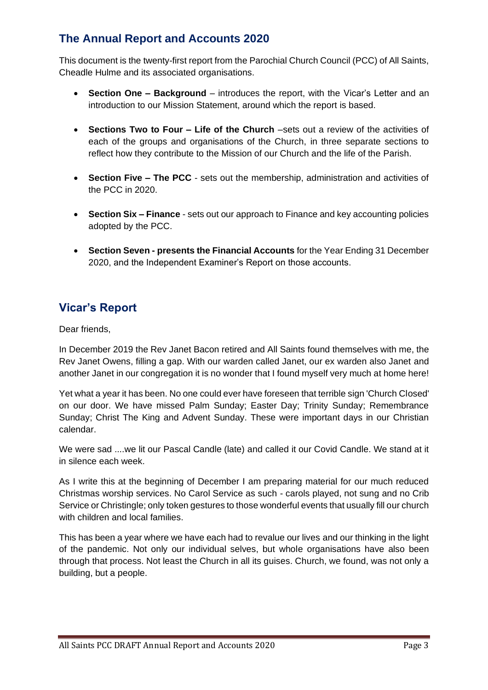## **The Annual Report and Accounts 2020**

This document is the twenty-first report from the Parochial Church Council (PCC) of All Saints, Cheadle Hulme and its associated organisations.

- **Section One – Background** introduces the report, with the Vicar's Letter and an introduction to our Mission Statement, around which the report is based.
- **Sections Two to Four – Life of the Church** –sets out a review of the activities of each of the groups and organisations of the Church, in three separate sections to reflect how they contribute to the Mission of our Church and the life of the Parish.
- **Section Five – The PCC** sets out the membership, administration and activities of the PCC in 2020.
- **Section Six – Finance** sets out our approach to Finance and key accounting policies adopted by the PCC.
- **Section Seven - presents the Financial Accounts** for the Year Ending 31 December 2020, and the Independent Examiner's Report on those accounts.

## **Vicar's Report**

Dear friends,

In December 2019 the Rev Janet Bacon retired and All Saints found themselves with me, the Rev Janet Owens, filling a gap. With our warden called Janet, our ex warden also Janet and another Janet in our congregation it is no wonder that I found myself very much at home here!

Yet what a year it has been. No one could ever have foreseen that terrible sign 'Church Closed' on our door. We have missed Palm Sunday; Easter Day; Trinity Sunday; Remembrance Sunday; Christ The King and Advent Sunday. These were important days in our Christian calendar.

We were sad ....we lit our Pascal Candle (late) and called it our Covid Candle. We stand at it in silence each week.

As I write this at the beginning of December I am preparing material for our much reduced Christmas worship services. No Carol Service as such - carols played, not sung and no Crib Service or Christingle; only token gestures to those wonderful events that usually fill our church with children and local families.

This has been a year where we have each had to revalue our lives and our thinking in the light of the pandemic. Not only our individual selves, but whole organisations have also been through that process. Not least the Church in all its guises. Church, we found, was not only a building, but a people.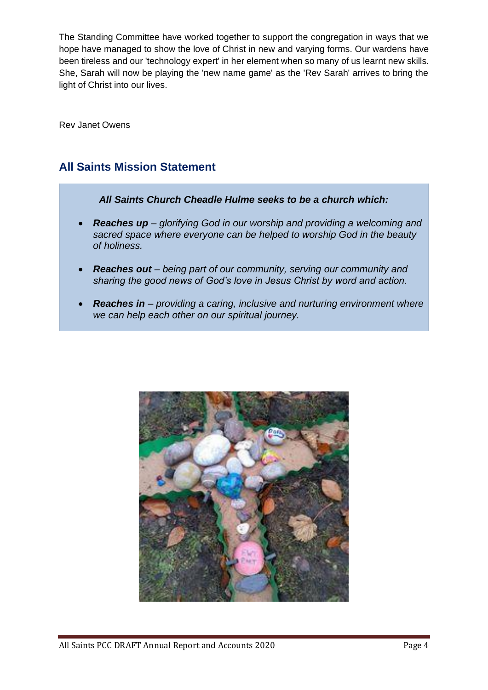The Standing Committee have worked together to support the congregation in ways that we hope have managed to show the love of Christ in new and varying forms. Our wardens have been tireless and our 'technology expert' in her element when so many of us learnt new skills. She, Sarah will now be playing the 'new name game' as the 'Rev Sarah' arrives to bring the light of Christ into our lives.

Rev Janet Owens

## **All Saints Mission Statement**



- *Reaches up – glorifying God in our worship and providing a welcoming and sacred space where everyone can be helped to worship God in the beauty of holiness.*
- *Reaches out – being part of our community, serving our community and sharing the good news of God's love in Jesus Christ by word and action.*
- *Reaches in – providing a caring, inclusive and nurturing environment where we can help each other on our spiritual journey.*

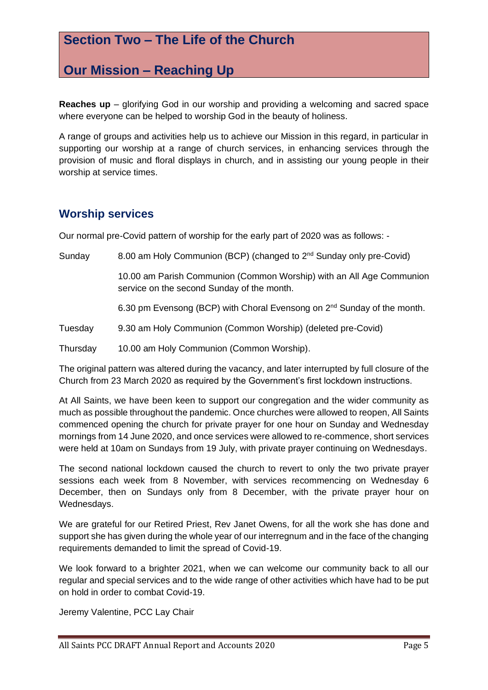## **Section Two – The Life of the Church**

## **Our Mission – Reaching Up**

**Reaches up** – glorifying God in our worship and providing a welcoming and sacred space where everyone can be helped to worship God in the beauty of holiness.

A range of groups and activities help us to achieve our Mission in this regard, in particular in supporting our worship at a range of church services, in enhancing services through the provision of music and floral displays in church, and in assisting our young people in their worship at service times.

## **Worship services**

Our normal pre-Covid pattern of worship for the early part of 2020 was as follows: -

Sunday 8.00 am Holy Communion (BCP) (changed to  $2<sup>nd</sup>$  Sunday only pre-Covid)

10.00 am Parish Communion (Common Worship) with an All Age Communion service on the second Sunday of the month.

6.30 pm Evensong (BCP) with Choral Evensong on 2nd Sunday of the month.

Tuesday 9.30 am Holy Communion (Common Worship) (deleted pre-Covid)

Thursday 10.00 am Holy Communion (Common Worship).

The original pattern was altered during the vacancy, and later interrupted by full closure of the Church from 23 March 2020 as required by the Government's first lockdown instructions.

At All Saints, we have been keen to support our congregation and the wider community as much as possible throughout the pandemic. Once churches were allowed to reopen, All Saints commenced opening the church for private prayer for one hour on Sunday and Wednesday mornings from 14 June 2020, and once services were allowed to re-commence, short services were held at 10am on Sundays from 19 July, with private prayer continuing on Wednesdays.

The second national lockdown caused the church to revert to only the two private prayer sessions each week from 8 November, with services recommencing on Wednesday 6 December, then on Sundays only from 8 December, with the private prayer hour on Wednesdays.

We are grateful for our Retired Priest, Rev Janet Owens, for all the work she has done and support she has given during the whole year of our interregnum and in the face of the changing requirements demanded to limit the spread of Covid-19.

We look forward to a brighter 2021, when we can welcome our community back to all our regular and special services and to the wide range of other activities which have had to be put on hold in order to combat Covid-19.

Jeremy Valentine, PCC Lay Chair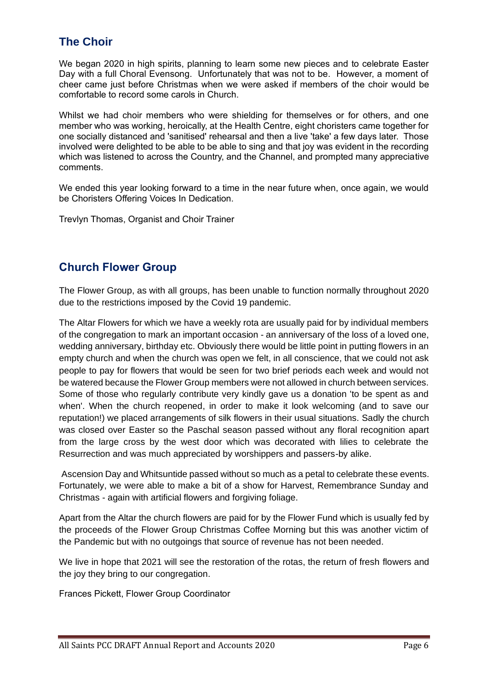## **The Choir**

We began 2020 in high spirits, planning to learn some new pieces and to celebrate Easter Day with a full Choral Evensong. Unfortunately that was not to be. However, a moment of cheer came just before Christmas when we were asked if members of the choir would be comfortable to record some carols in Church.

Whilst we had choir members who were shielding for themselves or for others, and one member who was working, heroically, at the Health Centre, eight choristers came together for one socially distanced and 'sanitised' rehearsal and then a live 'take' a few days later. Those involved were delighted to be able to be able to sing and that joy was evident in the recording which was listened to across the Country, and the Channel, and prompted many appreciative comments.

We ended this year looking forward to a time in the near future when, once again, we would be Choristers Offering Voices In Dedication.

Trevlyn Thomas, Organist and Choir Trainer

## **Church Flower Group**

The Flower Group, as with all groups, has been unable to function normally throughout 2020 due to the restrictions imposed by the Covid 19 pandemic.

The Altar Flowers for which we have a weekly rota are usually paid for by individual members of the congregation to mark an important occasion - an anniversary of the loss of a loved one, wedding anniversary, birthday etc. Obviously there would be little point in putting flowers in an empty church and when the church was open we felt, in all conscience, that we could not ask people to pay for flowers that would be seen for two brief periods each week and would not be watered because the Flower Group members were not allowed in church between services. Some of those who regularly contribute very kindly gave us a donation 'to be spent as and when'. When the church reopened, in order to make it look welcoming (and to save our reputation!) we placed arrangements of silk flowers in their usual situations. Sadly the church was closed over Easter so the Paschal season passed without any floral recognition apart from the large cross by the west door which was decorated with lilies to celebrate the Resurrection and was much appreciated by worshippers and passers-by alike.

Ascension Day and Whitsuntide passed without so much as a petal to celebrate these events. Fortunately, we were able to make a bit of a show for Harvest, Remembrance Sunday and Christmas - again with artificial flowers and forgiving foliage.

Apart from the Altar the church flowers are paid for by the Flower Fund which is usually fed by the proceeds of the Flower Group Christmas Coffee Morning but this was another victim of the Pandemic but with no outgoings that source of revenue has not been needed.

We live in hope that 2021 will see the restoration of the rotas, the return of fresh flowers and the joy they bring to our congregation.

Frances Pickett, Flower Group Coordinator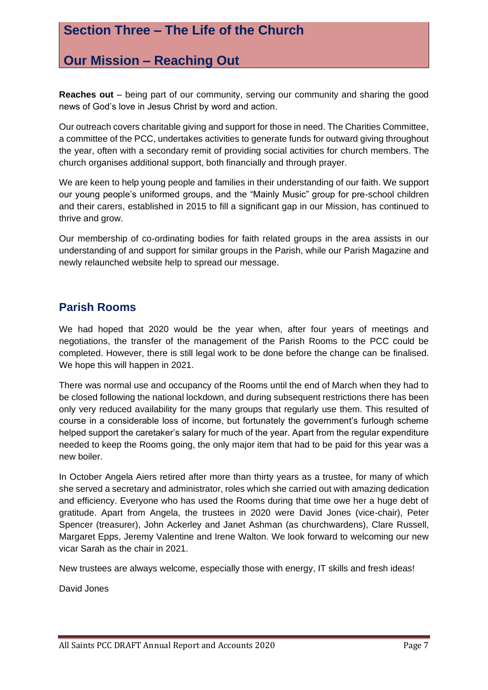## **Section Three – The Life of the Church**

## **Our Mission – Reaching Out**

**Reaches out** – being part of our community, serving our community and sharing the good news of God's love in Jesus Christ by word and action.

Our outreach covers charitable giving and support for those in need. The Charities Committee, a committee of the PCC, undertakes activities to generate funds for outward giving throughout the year, often with a secondary remit of providing social activities for church members. The church organises additional support, both financially and through prayer.

We are keen to help young people and families in their understanding of our faith. We support our young people's uniformed groups, and the "Mainly Music" group for pre-school children and their carers, established in 2015 to fill a significant gap in our Mission, has continued to thrive and grow.

Our membership of co-ordinating bodies for faith related groups in the area assists in our understanding of and support for similar groups in the Parish, while our Parish Magazine and newly relaunched website help to spread our message.

## **Parish Rooms**

We had hoped that 2020 would be the year when, after four years of meetings and negotiations, the transfer of the management of the Parish Rooms to the PCC could be completed. However, there is still legal work to be done before the change can be finalised. We hope this will happen in 2021.

There was normal use and occupancy of the Rooms until the end of March when they had to be closed following the national lockdown, and during subsequent restrictions there has been only very reduced availability for the many groups that regularly use them. This resulted of course in a considerable loss of income, but fortunately the government's furlough scheme helped support the caretaker's salary for much of the year. Apart from the regular expenditure needed to keep the Rooms going, the only major item that had to be paid for this year was a new boiler.

In October Angela Aiers retired after more than thirty years as a trustee, for many of which she served a secretary and administrator, roles which she carried out with amazing dedication and efficiency. Everyone who has used the Rooms during that time owe her a huge debt of gratitude. Apart from Angela, the trustees in 2020 were David Jones (vice-chair), Peter Spencer (treasurer), John Ackerley and Janet Ashman (as churchwardens), Clare Russell, Margaret Epps, Jeremy Valentine and Irene Walton. We look forward to welcoming our new vicar Sarah as the chair in 2021.

New trustees are always welcome, especially those with energy, IT skills and fresh ideas!

David Jones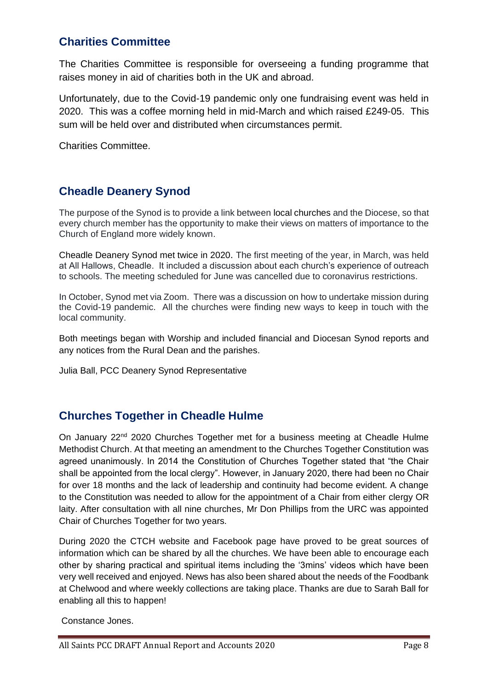## **Charities Committee**

The Charities Committee is responsible for overseeing a funding programme that raises money in aid of charities both in the UK and abroad.

Unfortunately, due to the Covid-19 pandemic only one fundraising event was held in 2020. This was a coffee morning held in mid-March and which raised £249-05. This sum will be held over and distributed when circumstances permit.

Charities Committee.

## **Cheadle Deanery Synod**

The purpose of the Synod is to provide a link between local churches and the Diocese, so that every church member has the opportunity to make their views on matters of importance to the Church of England more widely known.

Cheadle Deanery Synod met twice in 2020. The first meeting of the year, in March, was held at All Hallows, Cheadle. It included a discussion about each church's experience of outreach to schools. The meeting scheduled for June was cancelled due to coronavirus restrictions.

In October, Synod met via Zoom. There was a discussion on how to undertake mission during the Covid-19 pandemic. All the churches were finding new ways to keep in touch with the local community.

Both meetings began with Worship and included financial and Diocesan Synod reports and any notices from the Rural Dean and the parishes.

Julia Ball, PCC Deanery Synod Representative

## **Churches Together in Cheadle Hulme**

On January  $22<sup>nd</sup>$  2020 Churches Together met for a business meeting at Cheadle Hulme Methodist Church. At that meeting an amendment to the Churches Together Constitution was agreed unanimously. In 2014 the Constitution of Churches Together stated that "the Chair shall be appointed from the local clergy". However, in January 2020, there had been no Chair for over 18 months and the lack of leadership and continuity had become evident. A change to the Constitution was needed to allow for the appointment of a Chair from either clergy OR laity. After consultation with all nine churches, Mr Don Phillips from the URC was appointed Chair of Churches Together for two years.

During 2020 the CTCH website and Facebook page have proved to be great sources of information which can be shared by all the churches. We have been able to encourage each other by sharing practical and spiritual items including the '3mins' videos which have been very well received and enjoyed. News has also been shared about the needs of the Foodbank at Chelwood and where weekly collections are taking place. Thanks are due to Sarah Ball for enabling all this to happen!

Constance Jones.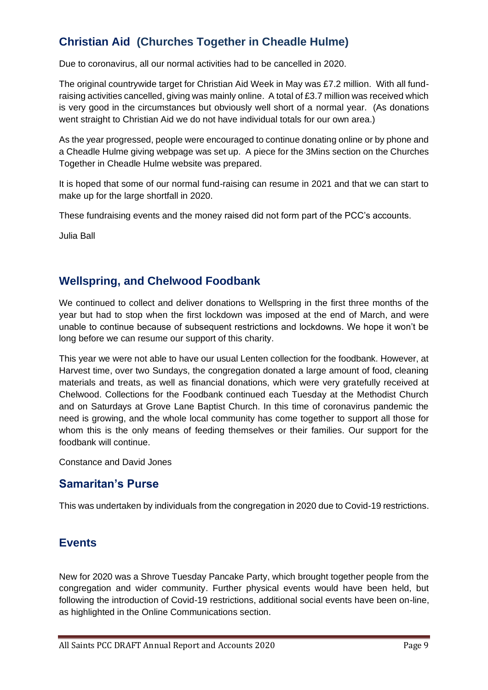## **Christian Aid (Churches Together in Cheadle Hulme)**

Due to coronavirus, all our normal activities had to be cancelled in 2020.

The original countrywide target for Christian Aid Week in May was £7.2 million. With all fundraising activities cancelled, giving was mainly online. A total of £3.7 million was received which is very good in the circumstances but obviously well short of a normal year. (As donations went straight to Christian Aid we do not have individual totals for our own area.)

As the year progressed, people were encouraged to continue donating online or by phone and a Cheadle Hulme giving webpage was set up. A piece for the 3Mins section on the Churches Together in Cheadle Hulme website was prepared.

It is hoped that some of our normal fund-raising can resume in 2021 and that we can start to make up for the large shortfall in 2020.

These fundraising events and the money raised did not form part of the PCC's accounts.

Julia Ball

## **Wellspring, and Chelwood Foodbank**

We continued to collect and deliver donations to Wellspring in the first three months of the year but had to stop when the first lockdown was imposed at the end of March, and were unable to continue because of subsequent restrictions and lockdowns. We hope it won't be long before we can resume our support of this charity.

This year we were not able to have our usual Lenten collection for the foodbank. However, at Harvest time, over two Sundays, the congregation donated a large amount of food, cleaning materials and treats, as well as financial donations, which were very gratefully received at Chelwood. Collections for the Foodbank continued each Tuesday at the Methodist Church and on Saturdays at Grove Lane Baptist Church. In this time of coronavirus pandemic the need is growing, and the whole local community has come together to support all those for whom this is the only means of feeding themselves or their families. Our support for the foodbank will continue.

Constance and David Jones

## **Samaritan's Purse**

This was undertaken by individuals from the congregation in 2020 due to Covid-19 restrictions.

## **Events**

New for 2020 was a Shrove Tuesday Pancake Party, which brought together people from the congregation and wider community. Further physical events would have been held, but following the introduction of Covid-19 restrictions, additional social events have been on-line, as highlighted in the Online Communications section.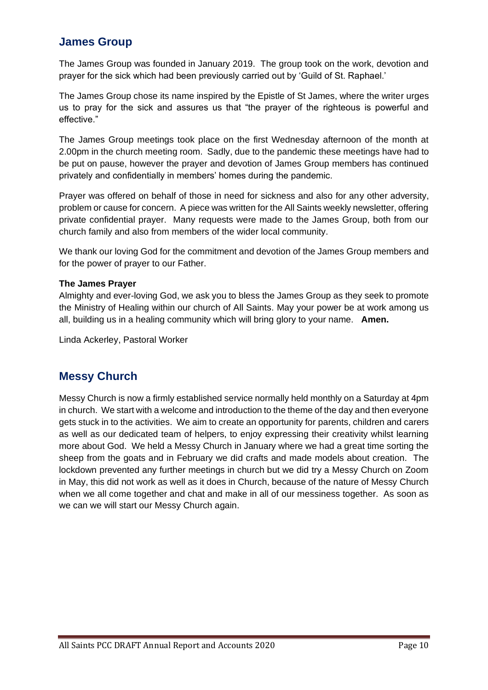## **James Group**

The James Group was founded in January 2019. The group took on the work, devotion and prayer for the sick which had been previously carried out by 'Guild of St. Raphael.'

The James Group chose its name inspired by the Epistle of St James, where the writer urges us to pray for the sick and assures us that "the prayer of the righteous is powerful and effective."

The James Group meetings took place on the first Wednesday afternoon of the month at 2.00pm in the church meeting room. Sadly, due to the pandemic these meetings have had to be put on pause, however the prayer and devotion of James Group members has continued privately and confidentially in members' homes during the pandemic.

Prayer was offered on behalf of those in need for sickness and also for any other adversity, problem or cause for concern. A piece was written for the All Saints weekly newsletter, offering private confidential prayer. Many requests were made to the James Group, both from our church family and also from members of the wider local community.

We thank our loving God for the commitment and devotion of the James Group members and for the power of prayer to our Father.

#### **The James Prayer**

Almighty and ever-loving God, we ask you to bless the James Group as they seek to promote the Ministry of Healing within our church of All Saints. May your power be at work among us all, building us in a healing community which will bring glory to your name. **Amen.**

Linda Ackerley, Pastoral Worker

## **Messy Church**

Messy Church is now a firmly established service normally held monthly on a Saturday at 4pm in church. We start with a welcome and introduction to the theme of the day and then everyone gets stuck in to the activities. We aim to create an opportunity for parents, children and carers as well as our dedicated team of helpers, to enjoy expressing their creativity whilst learning more about God. We held a Messy Church in January where we had a great time sorting the sheep from the goats and in February we did crafts and made models about creation. The lockdown prevented any further meetings in church but we did try a Messy Church on Zoom in May, this did not work as well as it does in Church, because of the nature of Messy Church when we all come together and chat and make in all of our messiness together. As soon as we can we will start our Messy Church again.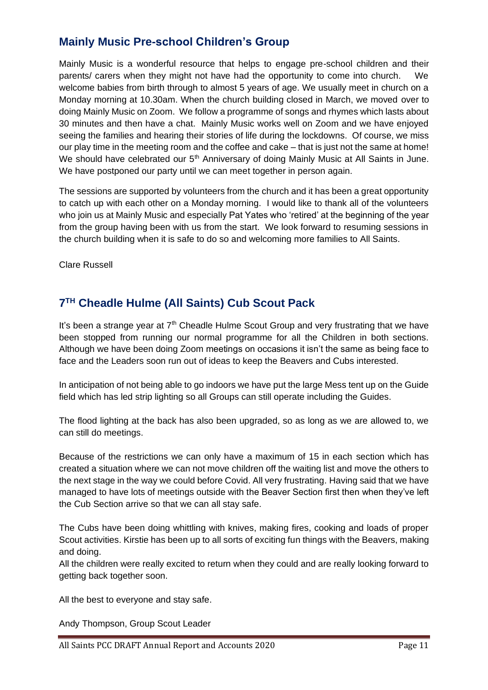## **Mainly Music Pre-school Children's Group**

Mainly Music is a wonderful resource that helps to engage pre-school children and their parents/ carers when they might not have had the opportunity to come into church. We welcome babies from birth through to almost 5 years of age. We usually meet in church on a Monday morning at 10.30am. When the church building closed in March, we moved over to doing Mainly Music on Zoom. We follow a programme of songs and rhymes which lasts about 30 minutes and then have a chat. Mainly Music works well on Zoom and we have enjoyed seeing the families and hearing their stories of life during the lockdowns. Of course, we miss our play time in the meeting room and the coffee and cake – that is just not the same at home! We should have celebrated our  $5<sup>th</sup>$  Anniversary of doing Mainly Music at All Saints in June. We have postponed our party until we can meet together in person again.

The sessions are supported by volunteers from the church and it has been a great opportunity to catch up with each other on a Monday morning. I would like to thank all of the volunteers who join us at Mainly Music and especially Pat Yates who 'retired' at the beginning of the year from the group having been with us from the start. We look forward to resuming sessions in the church building when it is safe to do so and welcoming more families to All Saints.

Clare Russell

## **7 TH Cheadle Hulme (All Saints) Cub Scout Pack**

It's been a strange year at  $7<sup>th</sup>$  Cheadle Hulme Scout Group and very frustrating that we have been stopped from running our normal programme for all the Children in both sections. Although we have been doing Zoom meetings on occasions it isn't the same as being face to face and the Leaders soon run out of ideas to keep the Beavers and Cubs interested.

In anticipation of not being able to go indoors we have put the large Mess tent up on the Guide field which has led strip lighting so all Groups can still operate including the Guides.

The flood lighting at the back has also been upgraded, so as long as we are allowed to, we can still do meetings.

Because of the restrictions we can only have a maximum of 15 in each section which has created a situation where we can not move children off the waiting list and move the others to the next stage in the way we could before Covid. All very frustrating. Having said that we have managed to have lots of meetings outside with the Beaver Section first then when they've left the Cub Section arrive so that we can all stay safe.

The Cubs have been doing whittling with knives, making fires, cooking and loads of proper Scout activities. Kirstie has been up to all sorts of exciting fun things with the Beavers, making and doing.

All the children were really excited to return when they could and are really looking forward to getting back together soon.

All the best to everyone and stay safe.

Andy Thompson, Group Scout Leader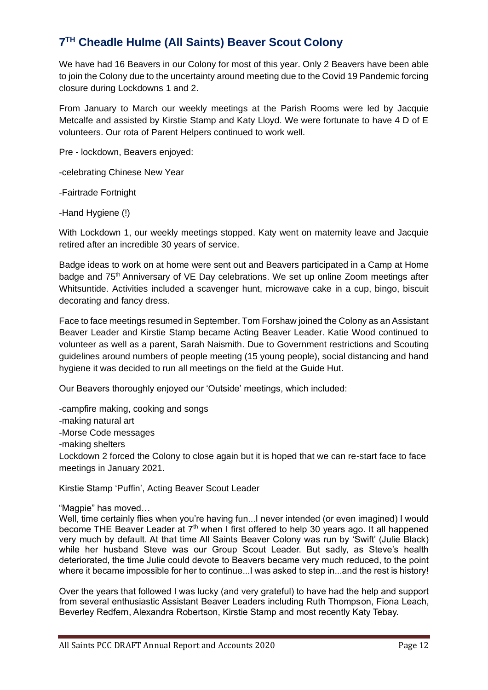## **7 TH Cheadle Hulme (All Saints) Beaver Scout Colony**

We have had 16 Beavers in our Colony for most of this year. Only 2 Beavers have been able to join the Colony due to the uncertainty around meeting due to the Covid 19 Pandemic forcing closure during Lockdowns 1 and 2.

From January to March our weekly meetings at the Parish Rooms were led by Jacquie Metcalfe and assisted by Kirstie Stamp and Katy Lloyd. We were fortunate to have 4 D of E volunteers. Our rota of Parent Helpers continued to work well.

Pre - lockdown, Beavers enjoyed:

-celebrating Chinese New Year

-Fairtrade Fortnight

-Hand Hygiene (!)

With Lockdown 1, our weekly meetings stopped. Katy went on maternity leave and Jacquie retired after an incredible 30 years of service.

Badge ideas to work on at home were sent out and Beavers participated in a Camp at Home badge and 75<sup>th</sup> Anniversary of VE Day celebrations. We set up online Zoom meetings after Whitsuntide. Activities included a scavenger hunt, microwave cake in a cup, bingo, biscuit decorating and fancy dress.

Face to face meetings resumed in September. Tom Forshaw joined the Colony as an Assistant Beaver Leader and Kirstie Stamp became Acting Beaver Leader. Katie Wood continued to volunteer as well as a parent, Sarah Naismith. Due to Government restrictions and Scouting guidelines around numbers of people meeting (15 young people), social distancing and hand hygiene it was decided to run all meetings on the field at the Guide Hut.

Our Beavers thoroughly enjoyed our 'Outside' meetings, which included:

-campfire making, cooking and songs -making natural art -Morse Code messages -making shelters Lockdown 2 forced the Colony to close again but it is hoped that we can re-start face to face meetings in January 2021.

Kirstie Stamp 'Puffin', Acting Beaver Scout Leader

"Magpie" has moved…

Well, time certainly flies when you're having fun...I never intended (or even imagined) I would become THE Beaver Leader at 7<sup>th</sup> when I first offered to help 30 years ago. It all happened very much by default. At that time All Saints Beaver Colony was run by 'Swift' (Julie Black) while her husband Steve was our Group Scout Leader. But sadly, as Steve's health deteriorated, the time Julie could devote to Beavers became very much reduced, to the point where it became impossible for her to continue...I was asked to step in...and the rest is history!

Over the years that followed I was lucky (and very grateful) to have had the help and support from several enthusiastic Assistant Beaver Leaders including Ruth Thompson, Fiona Leach, Beverley Redfern, Alexandra Robertson, Kirstie Stamp and most recently Katy Tebay.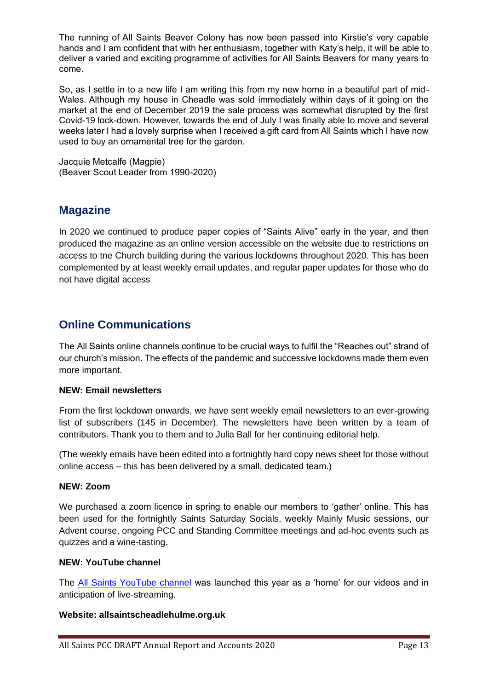The running of All Saints Beaver Colony has now been passed into Kirstie's very capable hands and I am confident that with her enthusiasm, together with Katy's help, it will be able to deliver a varied and exciting programme of activities for All Saints Beavers for many years to come.

So, as I settle in to a new life I am writing this from my new home in a beautiful part of mid-Wales. Although my house in Cheadle was sold immediately within days of it going on the market at the end of December 2019 the sale process was somewhat disrupted by the first Covid-19 lock-down. However, towards the end of July I was finally able to move and several weeks later I had a lovely surprise when I received a gift card from All Saints which I have now used to buy an ornamental tree for the garden.

Jacquie Metcalfe (Magpie) (Beaver Scout Leader from 1990-2020)

## **Magazine**

In 2020 we continued to produce paper copies of "Saints Alive" early in the year, and then produced the magazine as an online version accessible on the website due to restrictions on access to tne Church building during the various lockdowns throughout 2020. This has been complemented by at least weekly email updates, and regular paper updates for those who do not have digital access

## **Online Communications**

The All Saints online channels continue to be crucial ways to fulfil the "Reaches out" strand of our church's mission. The effects of the pandemic and successive lockdowns made them even more important.

#### **NEW: Email newsletters**

From the first lockdown onwards, we have sent weekly email newsletters to an ever-growing list of subscribers (145 in December). The newsletters have been written by a team of contributors. Thank you to them and to Julia Ball for her continuing editorial help.

(The weekly emails have been edited into a fortnightly hard copy news sheet for those without online access – this has been delivered by a small, dedicated team.)

#### **NEW: Zoom**

We purchased a zoom licence in spring to enable our members to 'gather' online. This has been used for the fortnightly Saints Saturday Socials, weekly Mainly Music sessions, our Advent course, ongoing PCC and Standing Committee meetings and ad-hoc events such as quizzes and a wine-tasting.

#### **NEW: YouTube channel**

The [All Saints YouTube channel](https://www.youtube.com/channel/UCDcpcu07cK_87UPo__nvrjQ) was launched this year as a 'home' for our videos and in anticipation of live-streaming.

#### **Website: allsaintscheadlehulme.org.uk**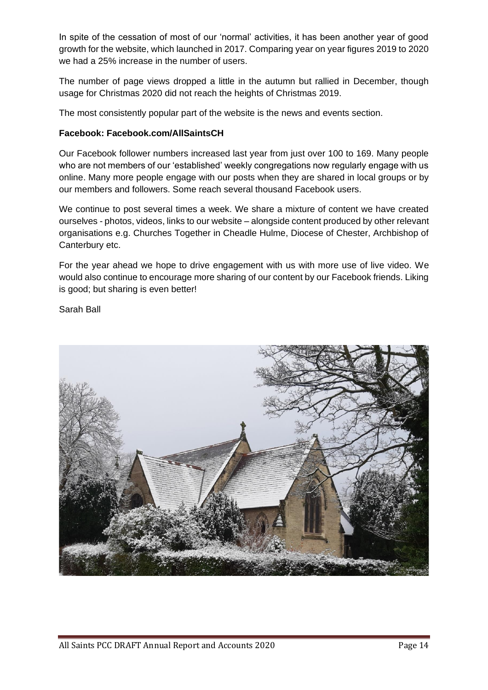In spite of the cessation of most of our 'normal' activities, it has been another year of good growth for the website, which launched in 2017. Comparing year on year figures 2019 to 2020 we had a 25% increase in the number of users.

The number of page views dropped a little in the autumn but rallied in December, though usage for Christmas 2020 did not reach the heights of Christmas 2019.

The most consistently popular part of the website is the news and events section.

#### **Facebook: Facebook.com/AllSaintsCH**

Our Facebook follower numbers increased last year from just over 100 to 169. Many people who are not members of our 'established' weekly congregations now regularly engage with us online. Many more people engage with our posts when they are shared in local groups or by our members and followers. Some reach several thousand Facebook users.

We continue to post several times a week. We share a mixture of content we have created ourselves - photos, videos, links to our website – alongside content produced by other relevant organisations e.g. Churches Together in Cheadle Hulme, Diocese of Chester, Archbishop of Canterbury etc.

For the year ahead we hope to drive engagement with us with more use of live video. We would also continue to encourage more sharing of our content by our Facebook friends. Liking is good; but sharing is even better!

Sarah Ball

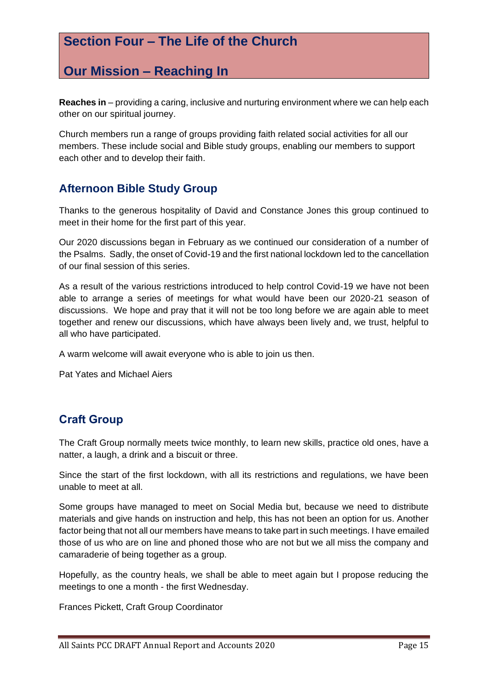## **Section Four – The Life of the Church**

## **Our Mission – Reaching In**

**Reaches in** – providing a caring, inclusive and nurturing environment where we can help each other on our spiritual journey.

Church members run a range of groups providing faith related social activities for all our members. These include social and Bible study groups, enabling our members to support each other and to develop their faith.

## **Afternoon Bible Study Group**

Thanks to the generous hospitality of David and Constance Jones this group continued to meet in their home for the first part of this year.

Our 2020 discussions began in February as we continued our consideration of a number of the Psalms. Sadly, the onset of Covid-19 and the first national lockdown led to the cancellation of our final session of this series.

As a result of the various restrictions introduced to help control Covid-19 we have not been able to arrange a series of meetings for what would have been our 2020-21 season of discussions. We hope and pray that it will not be too long before we are again able to meet together and renew our discussions, which have always been lively and, we trust, helpful to all who have participated.

A warm welcome will await everyone who is able to join us then.

Pat Yates and Michael Aiers

## **Craft Group**

The Craft Group normally meets twice monthly, to learn new skills, practice old ones, have a natter, a laugh, a drink and a biscuit or three.

Since the start of the first lockdown, with all its restrictions and regulations, we have been unable to meet at all.

Some groups have managed to meet on Social Media but, because we need to distribute materials and give hands on instruction and help, this has not been an option for us. Another factor being that not all our members have means to take part in such meetings. I have emailed those of us who are on line and phoned those who are not but we all miss the company and camaraderie of being together as a group.

Hopefully, as the country heals, we shall be able to meet again but I propose reducing the meetings to one a month - the first Wednesday.

Frances Pickett, Craft Group Coordinator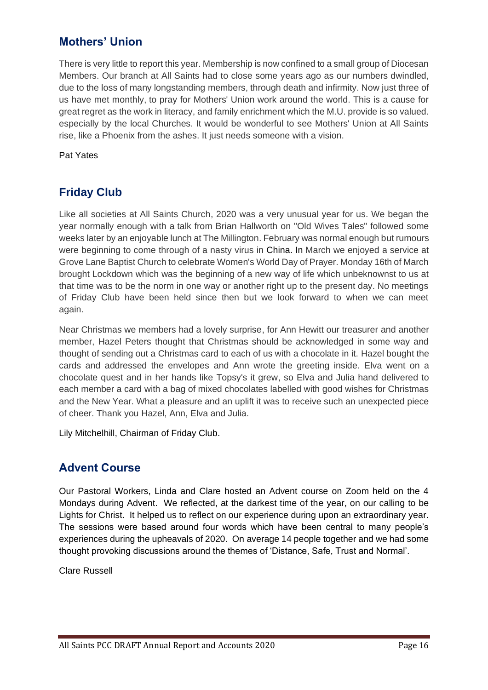## **Mothers' Union**

There is very little to report this year. Membership is now confined to a small group of Diocesan Members. Our branch at All Saints had to close some years ago as our numbers dwindled, due to the loss of many longstanding members, through death and infirmity. Now just three of us have met monthly, to pray for Mothers' Union work around the world. This is a cause for great regret as the work in literacy, and family enrichment which the M.U. provide is so valued. especially by the local Churches. It would be wonderful to see Mothers' Union at All Saints rise, like a Phoenix from the ashes. It just needs someone with a vision.

Pat Yates

## **Friday Club**

Like all societies at All Saints Church, 2020 was a very unusual year for us. We began the year normally enough with a talk from Brian Hallworth on "Old Wives Tales" followed some weeks later by an enjoyable lunch at The Millington. February was normal enough but rumours were beginning to come through of a nasty virus in [China. In](http://china.in/) March we enjoyed a service at Grove Lane Baptist Church to celebrate Women's World Day of Prayer. Monday 16th of March brought Lockdown which was the beginning of a new way of life which unbeknownst to us at that time was to be the norm in one way or another right up to the present day. No meetings of Friday Club have been held since then but we look forward to when we can meet again.

Near Christmas we members had a lovely surprise, for Ann Hewitt our treasurer and another member, Hazel Peters thought that Christmas should be acknowledged in some way and thought of sending out a Christmas card to each of us with a chocolate in it. Hazel bought the cards and addressed the envelopes and Ann wrote the greeting inside. Elva went on a chocolate quest and in her hands like Topsy's it grew, so Elva and Julia hand delivered to each member a card with a bag of mixed chocolates labelled with good wishes for Christmas and the New Year. What a pleasure and an uplift it was to receive such an unexpected piece of cheer. Thank you Hazel, Ann, Elva and Julia.

Lily Mitchelhill, Chairman of Friday Club.

## **Advent Course**

Our Pastoral Workers, Linda and Clare hosted an Advent course on Zoom held on the 4 Mondays during Advent. We reflected, at the darkest time of the year, on our calling to be Lights for Christ. It helped us to reflect on our experience during upon an extraordinary year. The sessions were based around four words which have been central to many people's experiences during the upheavals of 2020. On average 14 people together and we had some thought provoking discussions around the themes of 'Distance, Safe, Trust and Normal'.

Clare Russell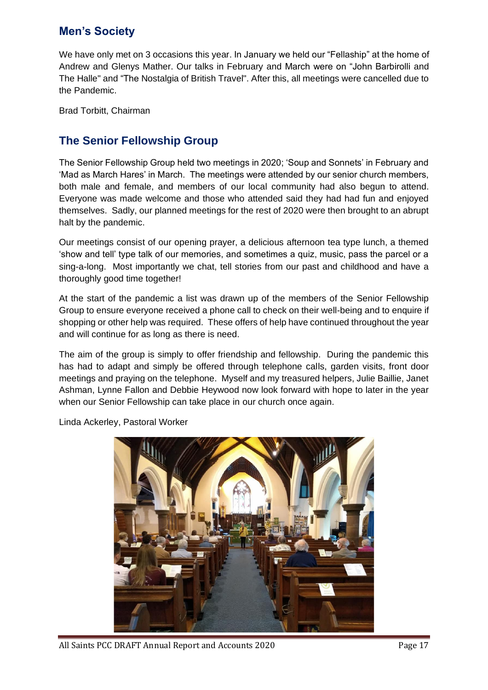## **Men's Society**

We have only met on 3 occasions this year. In January we held our "Fellaship" at the home of Andrew and Glenys Mather. Our talks in February and March were on "John Barbirolli and The Halle" and "The Nostalgia of British Travel". After this, all meetings were cancelled due to the Pandemic.

Brad Torbitt, Chairman

## **The Senior Fellowship Group**

The Senior Fellowship Group held two meetings in 2020; 'Soup and Sonnets' in February and 'Mad as March Hares' in March. The meetings were attended by our senior church members, both male and female, and members of our local community had also begun to attend. Everyone was made welcome and those who attended said they had had fun and enjoyed themselves. Sadly, our planned meetings for the rest of 2020 were then brought to an abrupt halt by the pandemic.

Our meetings consist of our opening prayer, a delicious afternoon tea type lunch, a themed 'show and tell' type talk of our memories, and sometimes a quiz, music, pass the parcel or a sing-a-long. Most importantly we chat, tell stories from our past and childhood and have a thoroughly good time together!

At the start of the pandemic a list was drawn up of the members of the Senior Fellowship Group to ensure everyone received a phone call to check on their well-being and to enquire if shopping or other help was required. These offers of help have continued throughout the year and will continue for as long as there is need.

The aim of the group is simply to offer friendship and fellowship. During the pandemic this has had to adapt and simply be offered through telephone calls, garden visits, front door meetings and praying on the telephone. Myself and my treasured helpers, Julie Baillie, Janet Ashman, Lynne Fallon and Debbie Heywood now look forward with hope to later in the year when our Senior Fellowship can take place in our church once again.

Linda Ackerley, Pastoral Worker

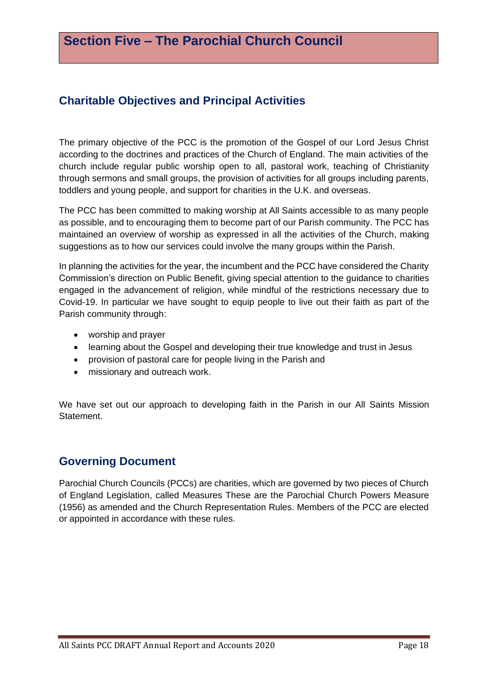## **Charitable Objectives and Principal Activities**

The primary objective of the PCC is the promotion of the Gospel of our Lord Jesus Christ according to the doctrines and practices of the Church of England. The main activities of the church include regular public worship open to all, pastoral work, teaching of Christianity through sermons and small groups, the provision of activities for all groups including parents, toddlers and young people, and support for charities in the U.K. and overseas.

The PCC has been committed to making worship at All Saints accessible to as many people as possible, and to encouraging them to become part of our Parish community. The PCC has maintained an overview of worship as expressed in all the activities of the Church, making suggestions as to how our services could involve the many groups within the Parish.

In planning the activities for the year, the incumbent and the PCC have considered the Charity Commission's direction on Public Benefit, giving special attention to the guidance to charities engaged in the advancement of religion, while mindful of the restrictions necessary due to Covid-19. In particular we have sought to equip people to live out their faith as part of the Parish community through:

- worship and prayer
- learning about the Gospel and developing their true knowledge and trust in Jesus
- provision of pastoral care for people living in the Parish and
- missionary and outreach work.

We have set out our approach to developing faith in the Parish in our All Saints Mission Statement.

## **Governing Document**

Parochial Church Councils (PCCs) are charities, which are governed by two pieces of Church of England Legislation, called Measures These are the Parochial Church Powers Measure (1956) as amended and the Church Representation Rules. Members of the PCC are elected or appointed in accordance with these rules.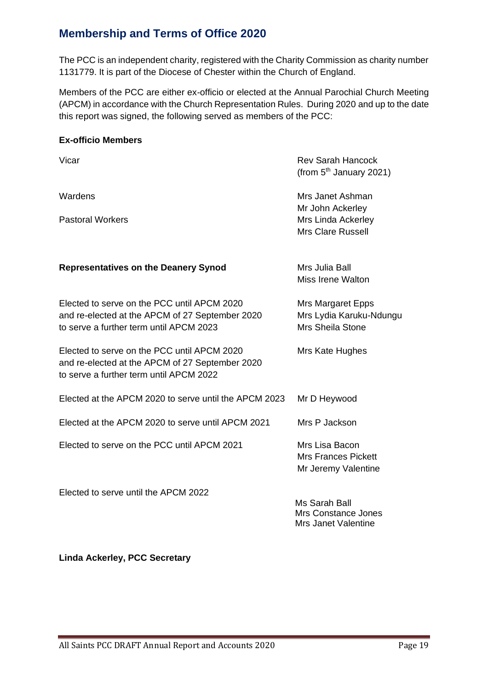## **Membership and Terms of Office 2020**

The PCC is an independent charity, registered with the Charity Commission as charity number 1131779. It is part of the Diocese of Chester within the Church of England.

Members of the PCC are either ex-officio or elected at the Annual Parochial Church Meeting (APCM) in accordance with the Church Representation Rules. During 2020 and up to the date this report was signed, the following served as members of the PCC:

#### **Ex-officio Members**

| Vicar                                                                                                                                     | <b>Rev Sarah Hancock</b><br>(from 5 <sup>th</sup> January 2021)                |
|-------------------------------------------------------------------------------------------------------------------------------------------|--------------------------------------------------------------------------------|
| Wardens                                                                                                                                   | Mrs Janet Ashman                                                               |
| <b>Pastoral Workers</b>                                                                                                                   | Mr John Ackerley<br>Mrs Linda Ackerley<br><b>Mrs Clare Russell</b>             |
| <b>Representatives on the Deanery Synod</b>                                                                                               | Mrs Julia Ball<br><b>Miss Irene Walton</b>                                     |
| Elected to serve on the PCC until APCM 2020<br>and re-elected at the APCM of 27 September 2020<br>to serve a further term until APCM 2023 | <b>Mrs Margaret Epps</b><br>Mrs Lydia Karuku-Ndungu<br><b>Mrs Sheila Stone</b> |
| Elected to serve on the PCC until APCM 2020<br>and re-elected at the APCM of 27 September 2020<br>to serve a further term until APCM 2022 | Mrs Kate Hughes                                                                |
| Elected at the APCM 2020 to serve until the APCM 2023                                                                                     | Mr D Heywood                                                                   |
| Elected at the APCM 2020 to serve until APCM 2021                                                                                         | Mrs P Jackson                                                                  |
| Elected to serve on the PCC until APCM 2021                                                                                               | Mrs Lisa Bacon<br><b>Mrs Frances Pickett</b><br>Mr Jeremy Valentine            |
| Elected to serve until the APCM 2022                                                                                                      | Ms Sarah Ball<br>Mrs Constance Jones<br><b>Mrs Janet Valentine</b>             |

**Linda Ackerley, PCC Secretary**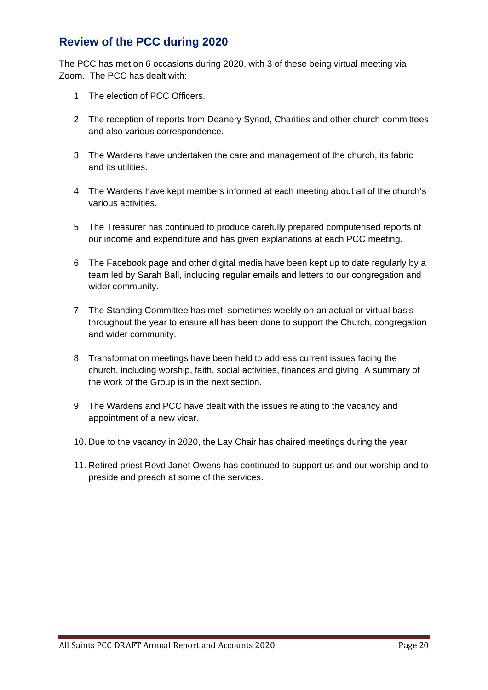## **Review of the PCC during 2020**

The PCC has met on 6 occasions during 2020, with 3 of these being virtual meeting via Zoom. The PCC has dealt with:

- 1. The election of PCC Officers.
- 2. The reception of reports from Deanery Synod, Charities and other church committees and also various correspondence.
- 3. The Wardens have undertaken the care and management of the church, its fabric and its utilities.
- 4. The Wardens have kept members informed at each meeting about all of the church's various activities.
- 5. The Treasurer has continued to produce carefully prepared computerised reports of our income and expenditure and has given explanations at each PCC meeting.
- 6. The Facebook page and other digital media have been kept up to date regularly by a team led by Sarah Ball, including regular emails and letters to our congregation and wider community.
- 7. The Standing Committee has met, sometimes weekly on an actual or virtual basis throughout the year to ensure all has been done to support the Church, congregation and wider community.
- 8. Transformation meetings have been held to address current issues facing the church, including worship, faith, social activities, finances and giving A summary of the work of the Group is in the next section.
- 9. The Wardens and PCC have dealt with the issues relating to the vacancy and appointment of a new vicar.
- 10. Due to the vacancy in 2020, the Lay Chair has chaired meetings during the year
- 11. Retired priest Revd Janet Owens has continued to support us and our worship and to preside and preach at some of the services.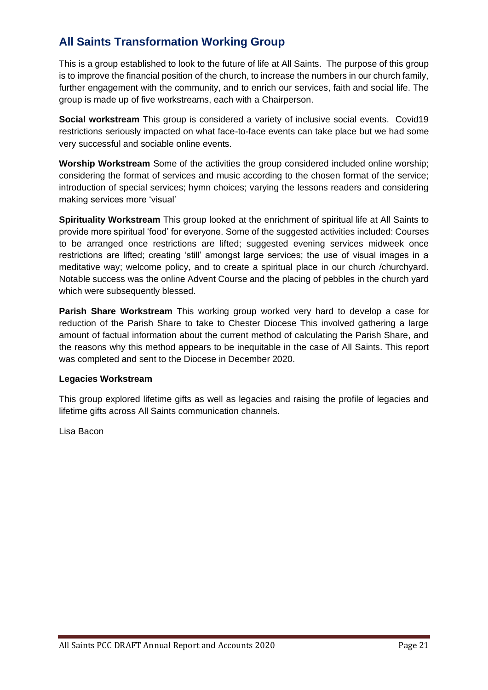## **All Saints Transformation Working Group**

This is a group established to look to the future of life at All Saints. The purpose of this group is to improve the financial position of the church, to increase the numbers in our church family, further engagement with the community, and to enrich our services, faith and social life. The group is made up of five workstreams, each with a Chairperson.

**Social workstream** This group is considered a variety of inclusive social events. Covid19 restrictions seriously impacted on what face-to-face events can take place but we had some very successful and sociable online events.

**Worship Workstream** Some of the activities the group considered included online worship; considering the format of services and music according to the chosen format of the service; introduction of special services; hymn choices; varying the lessons readers and considering making services more 'visual'

**Spirituality Workstream** This group looked at the enrichment of spiritual life at All Saints to provide more spiritual 'food' for everyone. Some of the suggested activities included: Courses to be arranged once restrictions are lifted; suggested evening services midweek once restrictions are lifted; creating 'still' amongst large services; the use of visual images in a meditative way; welcome policy, and to create a spiritual place in our church /churchyard. Notable success was the online Advent Course and the placing of pebbles in the church yard which were subsequently blessed.

**Parish Share Workstream** This working group worked very hard to develop a case for reduction of the Parish Share to take to Chester Diocese This involved gathering a large amount of factual information about the current method of calculating the Parish Share, and the reasons why this method appears to be inequitable in the case of All Saints. This report was completed and sent to the Diocese in December 2020.

#### **Legacies Workstream**

This group explored lifetime gifts as well as legacies and raising the profile of legacies and lifetime gifts across All Saints communication channels.

Lisa Bacon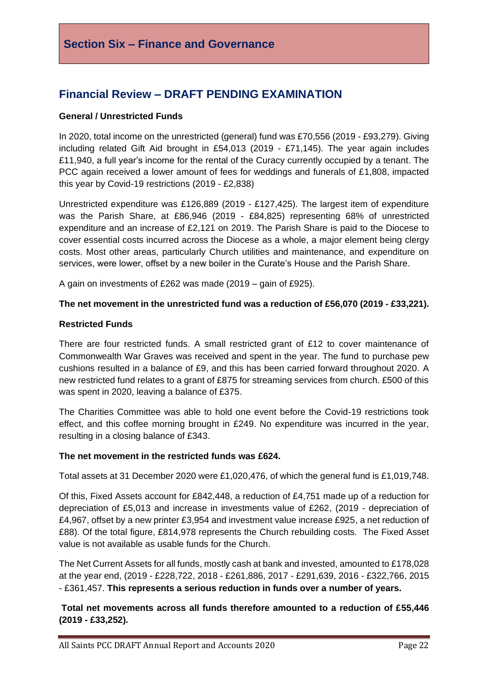## **Section Six – Finance and Governance**

## **Financial Review – DRAFT PENDING EXAMINATION**

#### **General / Unrestricted Funds**

In 2020, total income on the unrestricted (general) fund was £70,556 (2019 - £93,279). Giving including related Gift Aid brought in £54,013 (2019 - £71,145). The year again includes £11,940, a full year's income for the rental of the Curacy currently occupied by a tenant. The PCC again received a lower amount of fees for weddings and funerals of £1,808, impacted this year by Covid-19 restrictions (2019 - £2,838)

Unrestricted expenditure was £126,889 (2019 - £127,425). The largest item of expenditure was the Parish Share, at £86,946 (2019 - £84,825) representing 68% of unrestricted expenditure and an increase of £2,121 on 2019. The Parish Share is paid to the Diocese to cover essential costs incurred across the Diocese as a whole, a major element being clergy costs. Most other areas, particularly Church utilities and maintenance, and expenditure on services, were lower, offset by a new boiler in the Curate's House and the Parish Share.

A gain on investments of £262 was made (2019 – gain of £925).

#### **The net movement in the unrestricted fund was a reduction of £56,070 (2019 - £33,221).**

#### **Restricted Funds**

There are four restricted funds. A small restricted grant of £12 to cover maintenance of Commonwealth War Graves was received and spent in the year. The fund to purchase pew cushions resulted in a balance of £9, and this has been carried forward throughout 2020. A new restricted fund relates to a grant of £875 for streaming services from church. £500 of this was spent in 2020, leaving a balance of £375.

The Charities Committee was able to hold one event before the Covid-19 restrictions took effect, and this coffee morning brought in £249. No expenditure was incurred in the year, resulting in a closing balance of £343.

#### **The net movement in the restricted funds was £624.**

Total assets at 31 December 2020 were £1,020,476, of which the general fund is £1,019,748.

Of this, Fixed Assets account for £842,448, a reduction of £4,751 made up of a reduction for depreciation of £5,013 and increase in investments value of £262, (2019 - depreciation of £4,967, offset by a new printer £3,954 and investment value increase £925, a net reduction of £88). Of the total figure, £814,978 represents the Church rebuilding costs. The Fixed Asset value is not available as usable funds for the Church.

The Net Current Assets for all funds, mostly cash at bank and invested, amounted to £178,028 at the year end, (2019 - £228,722, 2018 - £261,886, 2017 - £291,639, 2016 - £322,766, 2015 - £361,457. **This represents a serious reduction in funds over a number of years.**

#### **Total net movements across all funds therefore amounted to a reduction of £55,446 (2019 - £33,252).**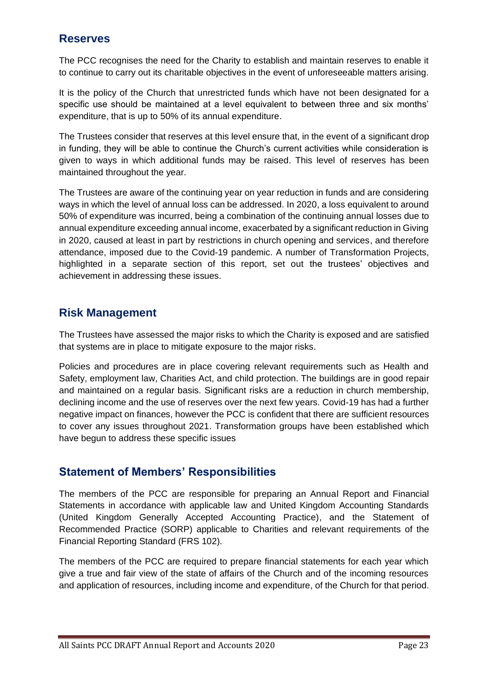## **Reserves**

The PCC recognises the need for the Charity to establish and maintain reserves to enable it to continue to carry out its charitable objectives in the event of unforeseeable matters arising.

It is the policy of the Church that unrestricted funds which have not been designated for a specific use should be maintained at a level equivalent to between three and six months' expenditure, that is up to 50% of its annual expenditure.

The Trustees consider that reserves at this level ensure that, in the event of a significant drop in funding, they will be able to continue the Church's current activities while consideration is given to ways in which additional funds may be raised. This level of reserves has been maintained throughout the year.

The Trustees are aware of the continuing year on year reduction in funds and are considering ways in which the level of annual loss can be addressed. In 2020, a loss equivalent to around 50% of expenditure was incurred, being a combination of the continuing annual losses due to annual expenditure exceeding annual income, exacerbated by a significant reduction in Giving in 2020, caused at least in part by restrictions in church opening and services, and therefore attendance, imposed due to the Covid-19 pandemic. A number of Transformation Projects, highlighted in a separate section of this report, set out the trustees' objectives and achievement in addressing these issues.

## **Risk Management**

The Trustees have assessed the major risks to which the Charity is exposed and are satisfied that systems are in place to mitigate exposure to the major risks.

Policies and procedures are in place covering relevant requirements such as Health and Safety, employment law, Charities Act, and child protection. The buildings are in good repair and maintained on a regular basis. Significant risks are a reduction in church membership, declining income and the use of reserves over the next few years. Covid-19 has had a further negative impact on finances, however the PCC is confident that there are sufficient resources to cover any issues throughout 2021. Transformation groups have been established which have begun to address these specific issues

## **Statement of Members' Responsibilities**

The members of the PCC are responsible for preparing an Annual Report and Financial Statements in accordance with applicable law and United Kingdom Accounting Standards (United Kingdom Generally Accepted Accounting Practice), and the Statement of Recommended Practice (SORP) applicable to Charities and relevant requirements of the Financial Reporting Standard (FRS 102).

The members of the PCC are required to prepare financial statements for each year which give a true and fair view of the state of affairs of the Church and of the incoming resources and application of resources, including income and expenditure, of the Church for that period.